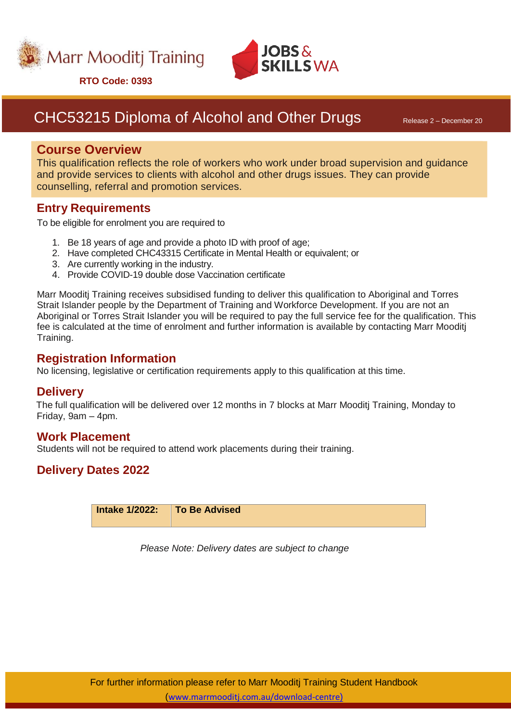



**RTO Code: 0393**

# CHC53215 Diploma of Alcohol and Other Drugs Release 2 – December 20

## **Course Overview**

This qualification reflects the role of workers who work under broad supervision and guidance and provide services to clients with alcohol and other drugs issues. They can provide counselling, referral and promotion services.

## **Entry Requirements**

To be eligible for enrolment you are required to

- 1. Be 18 years of age and provide a photo ID with proof of age;
- 2. Have completed CHC43315 Certificate in Mental Health or equivalent; or
- 3. Are currently working in the industry.
- 4. Provide COVID-19 double dose Vaccination certificate

Marr Mooditj Training receives subsidised funding to deliver this qualification to Aboriginal and Torres Strait Islander people by the Department of Training and Workforce Development. If you are not an Aboriginal or Torres Strait Islander you will be required to pay the full service fee for the qualification. This fee is calculated at the time of enrolment and further information is available by contacting Marr Mooditj Training.

### **Registration Information**

No licensing, legislative or certification requirements apply to this qualification at this time.

### **Delivery**

The full qualification will be delivered over 12 months in 7 blocks at Marr Mooditj Training, Monday to Friday, 9am – 4pm.

### **Work Placement**

Students will not be required to attend work placements during their training.

## **Delivery Dates 2022**

| Intake 1/2022: To Be Advised |
|------------------------------|
|------------------------------|

*Please Note: Delivery dates are subject to change*